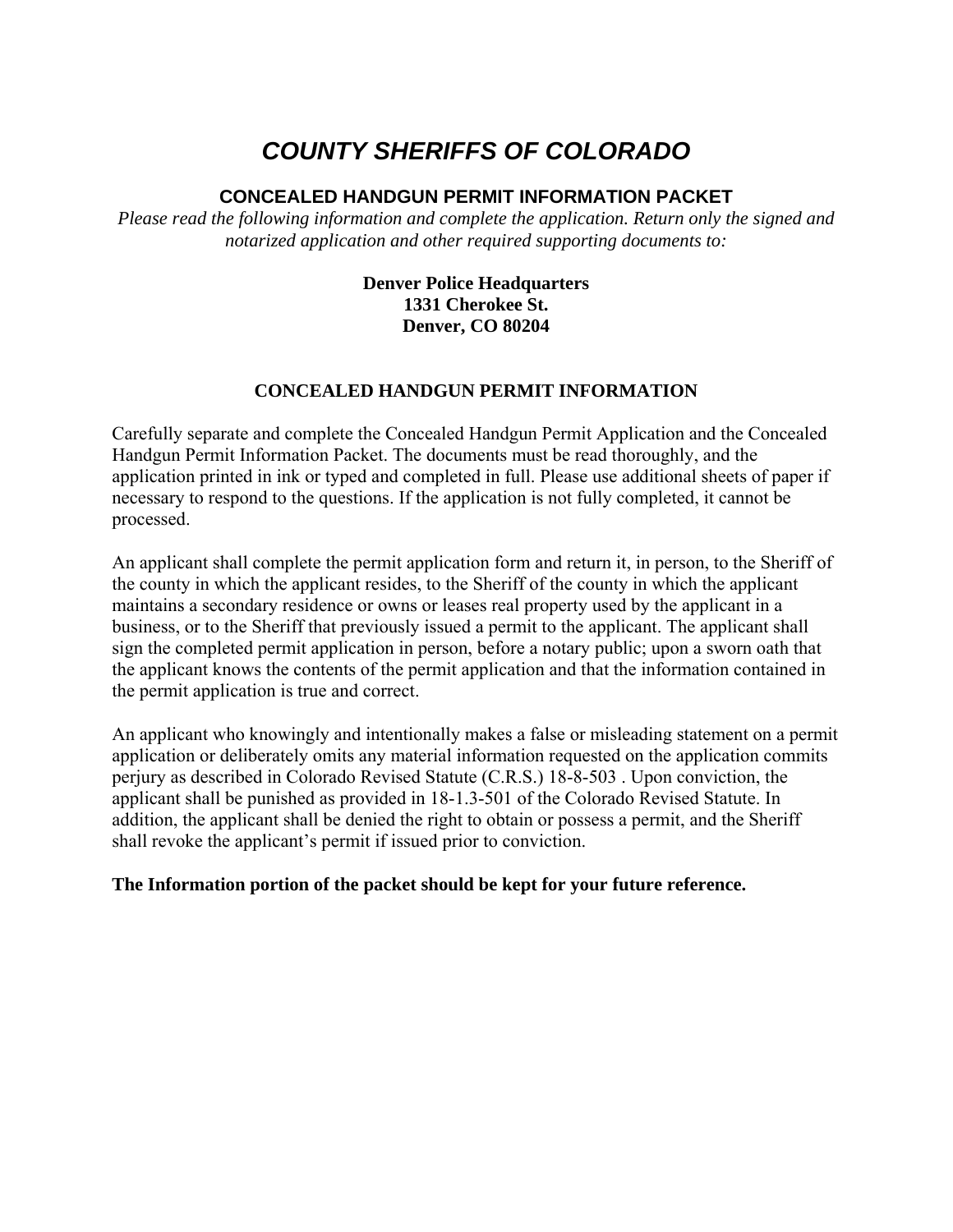# *COUNTY SHERIFFS OF COLORADO*

## **CONCEALED HANDGUN PERMIT INFORMATION PACKET**

*Please read the following information and complete the application. Return only the signed and notarized application and other required supporting documents to:*

### **Denver Police Headquarters 1331 Cherokee St. Denver, CO 80204**

# **CONCEALED HANDGUN PERMIT INFORMATION**

Carefully separate and complete the Concealed Handgun Permit Application and the Concealed Handgun Permit Information Packet. The documents must be read thoroughly, and the application printed in ink or typed and completed in full. Please use additional sheets of paper if necessary to respond to the questions. If the application is not fully completed, it cannot be processed.

An applicant shall complete the permit application form and return it, in person, to the Sheriff of the county in which the applicant resides, to the Sheriff of the county in which the applicant maintains a secondary residence or owns or leases real property used by the applicant in a business, or to the Sheriff that previously issued a permit to the applicant. The applicant shall sign the completed permit application in person, before a notary public; upon a sworn oath that the applicant knows the contents of the permit application and that the information contained in the permit application is true and correct.

An applicant who knowingly and intentionally makes a false or misleading statement on a permit application or deliberately omits any material information requested on the application commits perjury as described in Colorado Revised Statute (C.R.S.) 18-8-503 . Upon conviction, the applicant shall be punished as provided in 18-1.3-501 of the Colorado Revised Statute. In addition, the applicant shall be denied the right to obtain or possess a permit, and the Sheriff shall revoke the applicant's permit if issued prior to conviction.

### **The Information portion of the packet should be kept for your future reference.**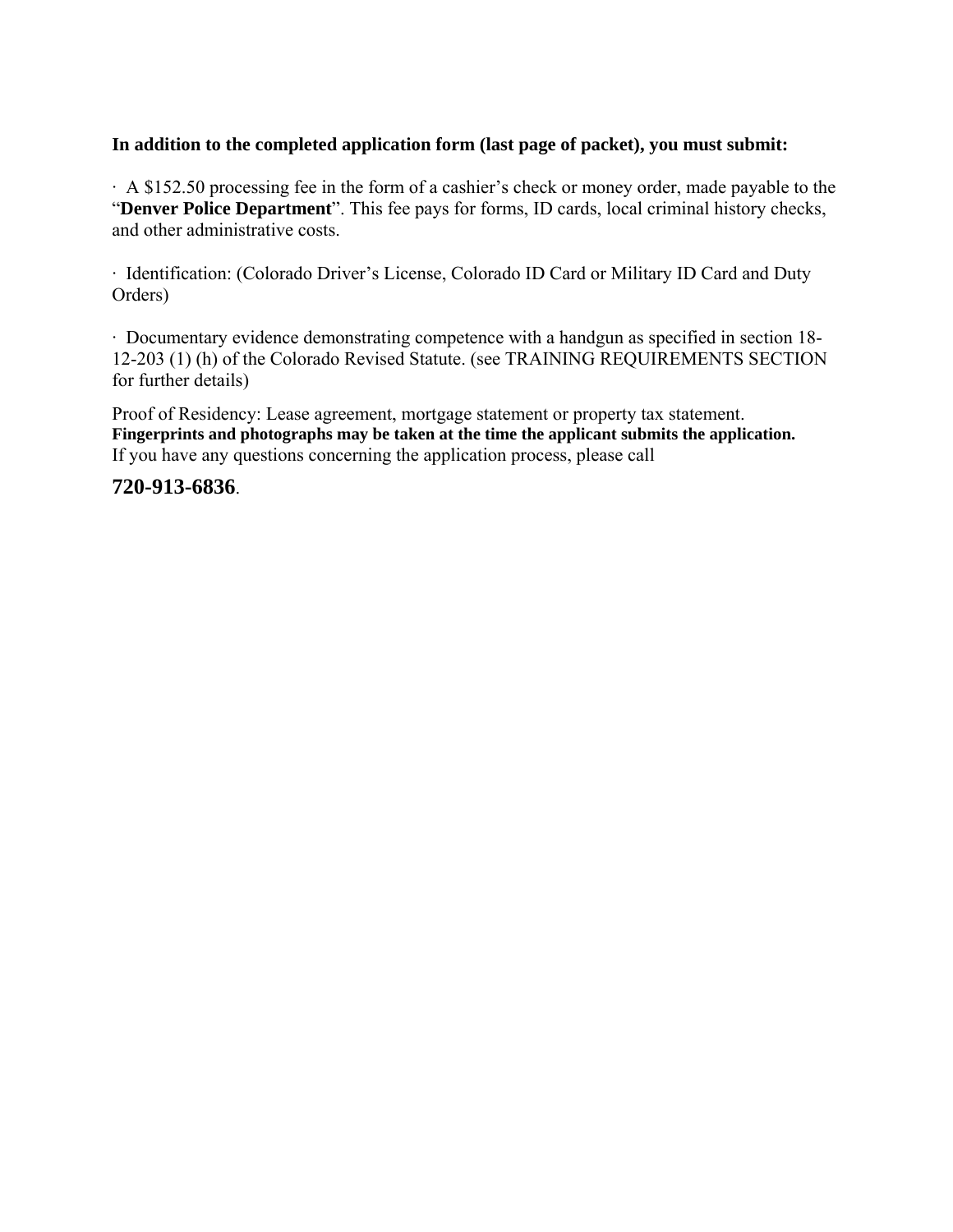#### **In addition to the completed application form (last page of packet), you must submit:**

· A \$152.50 processing fee in the form of a cashier's check or money order, made payable to the "**Denver Police Department**". This fee pays for forms, ID cards, local criminal history checks, and other administrative costs.

· Identification: (Colorado Driver's License, Colorado ID Card or Military ID Card and Duty Orders)

· Documentary evidence demonstrating competence with a handgun as specified in section 18- 12-203 (1) (h) of the Colorado Revised Statute. (see TRAINING REQUIREMENTS SECTION for further details)

Proof of Residency: Lease agreement, mortgage statement or property tax statement. **Fingerprints and photographs may be taken at the time the applicant submits the application.** If you have any questions concerning the application process, please call

### **720-913-6836**.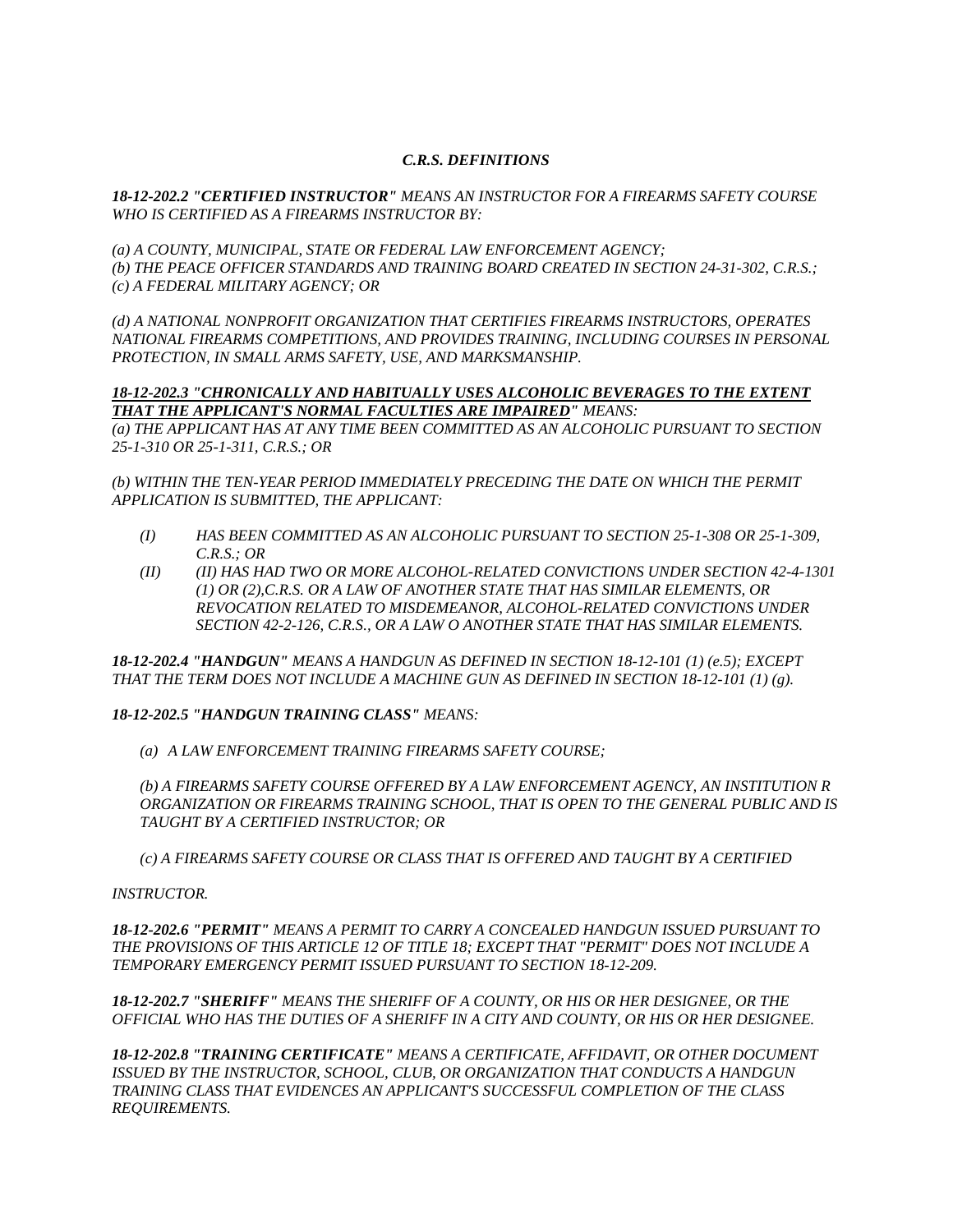#### *C.R.S. DEFINITIONS*

*18-12-202.2 "CERTIFIED INSTRUCTOR" MEANS AN INSTRUCTOR FOR A FIREARMS SAFETY COURSE WHO IS CERTIFIED AS A FIREARMS INSTRUCTOR BY:* 

*(a) A COUNTY, MUNICIPAL, STATE OR FEDERAL LAW ENFORCEMENT AGENCY; (b) THE PEACE OFFICER STANDARDS AND TRAINING BOARD CREATED IN SECTION 24-31-302, C.R.S.; (c) A FEDERAL MILITARY AGENCY; OR* 

*(d) A NATIONAL NONPROFIT ORGANIZATION THAT CERTIFIES FIREARMS INSTRUCTORS, OPERATES NATIONAL FIREARMS COMPETITIONS, AND PROVIDES TRAINING, INCLUDING COURSES IN PERSONAL PROTECTION, IN SMALL ARMS SAFETY, USE, AND MARKSMANSHIP.* 

#### *18-12-202.3 "CHRONICALLY AND HABITUALLY USES ALCOHOLIC BEVERAGES TO THE EXTENT THAT THE APPLICANT'S NORMAL FACULTIES ARE IMPAIRED" MEANS:*

*(a) THE APPLICANT HAS AT ANY TIME BEEN COMMITTED AS AN ALCOHOLIC PURSUANT TO SECTION 25-1-310 OR 25-1-311, C.R.S.; OR* 

*(b) WITHIN THE TEN-YEAR PERIOD IMMEDIATELY PRECEDING THE DATE ON WHICH THE PERMIT APPLICATION IS SUBMITTED, THE APPLICANT:* 

- *(I) HAS BEEN COMMITTED AS AN ALCOHOLIC PURSUANT TO SECTION 25-1-308 OR 25-1-309, C.R.S.; OR*
- *(II) (II) HAS HAD TWO OR MORE ALCOHOL-RELATED CONVICTIONS UNDER SECTION 42-4-1301 (1) OR (2),C.R.S. OR A LAW OF ANOTHER STATE THAT HAS SIMILAR ELEMENTS, OR REVOCATION RELATED TO MISDEMEANOR, ALCOHOL-RELATED CONVICTIONS UNDER SECTION 42-2-126, C.R.S., OR A LAW O ANOTHER STATE THAT HAS SIMILAR ELEMENTS.*

*18-12-202.4 "HANDGUN" MEANS A HANDGUN AS DEFINED IN SECTION 18-12-101 (1) (e.5); EXCEPT THAT THE TERM DOES NOT INCLUDE A MACHINE GUN AS DEFINED IN SECTION 18-12-101 (1) (g).* 

#### *18-12-202.5 "HANDGUN TRAINING CLASS" MEANS:*

*(a) A LAW ENFORCEMENT TRAINING FIREARMS SAFETY COURSE;* 

*(b) A FIREARMS SAFETY COURSE OFFERED BY A LAW ENFORCEMENT AGENCY, AN INSTITUTION R ORGANIZATION OR FIREARMS TRAINING SCHOOL, THAT IS OPEN TO THE GENERAL PUBLIC AND IS TAUGHT BY A CERTIFIED INSTRUCTOR; OR* 

*(c) A FIREARMS SAFETY COURSE OR CLASS THAT IS OFFERED AND TAUGHT BY A CERTIFIED* 

#### *INSTRUCTOR.*

*18-12-202.6 "PERMIT" MEANS A PERMIT TO CARRY A CONCEALED HANDGUN ISSUED PURSUANT TO THE PROVISIONS OF THIS ARTICLE 12 OF TITLE 18; EXCEPT THAT "PERMIT" DOES NOT INCLUDE A TEMPORARY EMERGENCY PERMIT ISSUED PURSUANT TO SECTION 18-12-209.* 

*18-12-202.7 "SHERIFF" MEANS THE SHERIFF OF A COUNTY, OR HIS OR HER DESIGNEE, OR THE OFFICIAL WHO HAS THE DUTIES OF A SHERIFF IN A CITY AND COUNTY, OR HIS OR HER DESIGNEE.* 

*18-12-202.8 "TRAINING CERTIFICATE" MEANS A CERTIFICATE, AFFIDAVIT, OR OTHER DOCUMENT ISSUED BY THE INSTRUCTOR, SCHOOL, CLUB, OR ORGANIZATION THAT CONDUCTS A HANDGUN TRAINING CLASS THAT EVIDENCES AN APPLICANT'S SUCCESSFUL COMPLETION OF THE CLASS REQUIREMENTS.*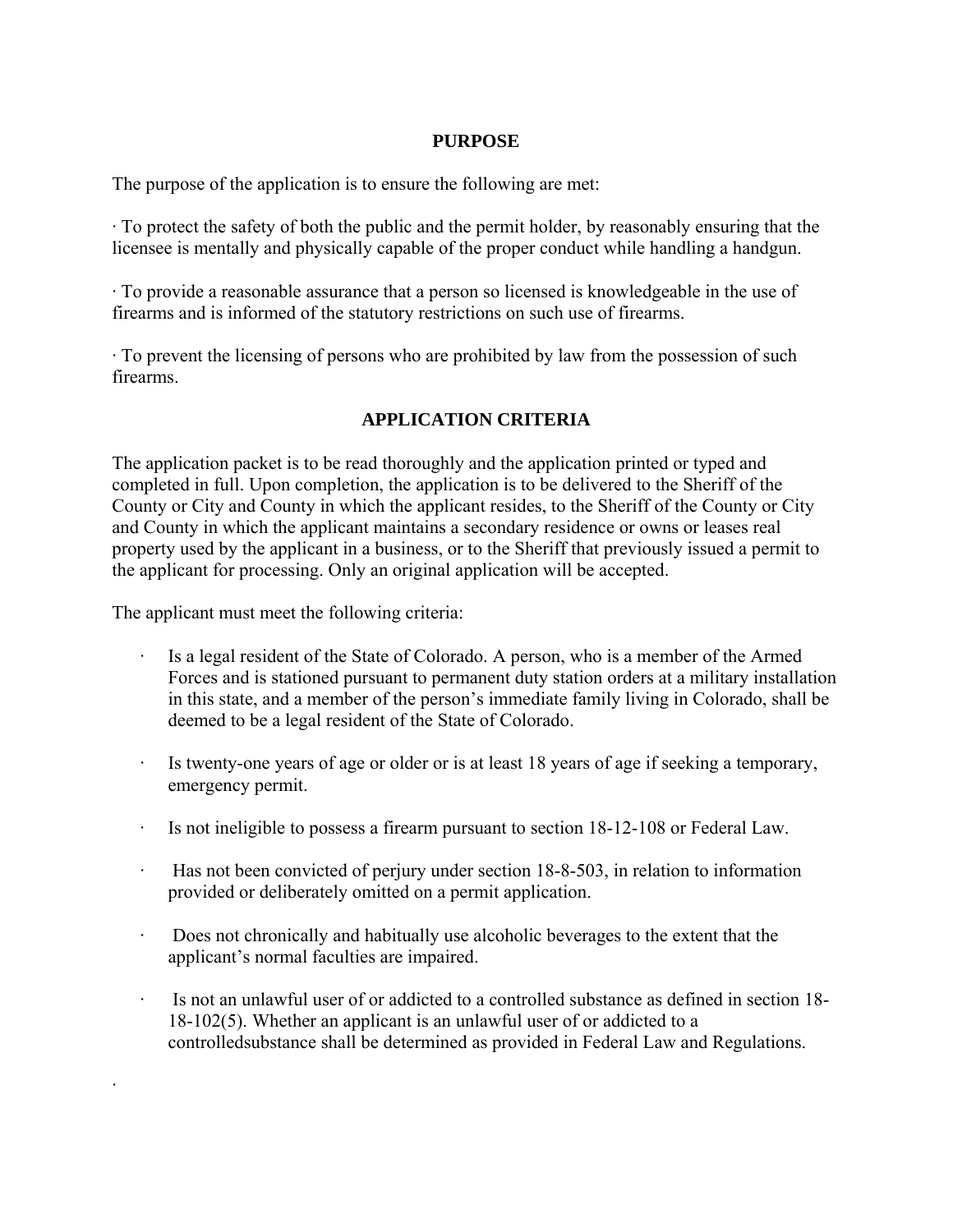#### **PURPOSE**

The purpose of the application is to ensure the following are met:

· To protect the safety of both the public and the permit holder, by reasonably ensuring that the licensee is mentally and physically capable of the proper conduct while handling a handgun.

· To provide a reasonable assurance that a person so licensed is knowledgeable in the use of firearms and is informed of the statutory restrictions on such use of firearms.

· To prevent the licensing of persons who are prohibited by law from the possession of such firearms.

### **APPLICATION CRITERIA**

The application packet is to be read thoroughly and the application printed or typed and completed in full. Upon completion, the application is to be delivered to the Sheriff of the County or City and County in which the applicant resides, to the Sheriff of the County or City and County in which the applicant maintains a secondary residence or owns or leases real property used by the applicant in a business, or to the Sheriff that previously issued a permit to the applicant for processing. Only an original application will be accepted.

The applicant must meet the following criteria:

·

- Is a legal resident of the State of Colorado. A person, who is a member of the Armed Forces and is stationed pursuant to permanent duty station orders at a military installation in this state, and a member of the person's immediate family living in Colorado, shall be deemed to be a legal resident of the State of Colorado.
- Is twenty-one years of age or older or is at least 18 years of age if seeking a temporary, emergency permit.
- Is not ineligible to possess a firearm pursuant to section  $18-12-108$  or Federal Law.
- Has not been convicted of perjury under section 18-8-503, in relation to information provided or deliberately omitted on a permit application.
- · Does not chronically and habitually use alcoholic beverages to the extent that the applicant's normal faculties are impaired.
- · Is not an unlawful user of or addicted to a controlled substance as defined in section 18- 18-102(5). Whether an applicant is an unlawful user of or addicted to a controlledsubstance shall be determined as provided in Federal Law and Regulations.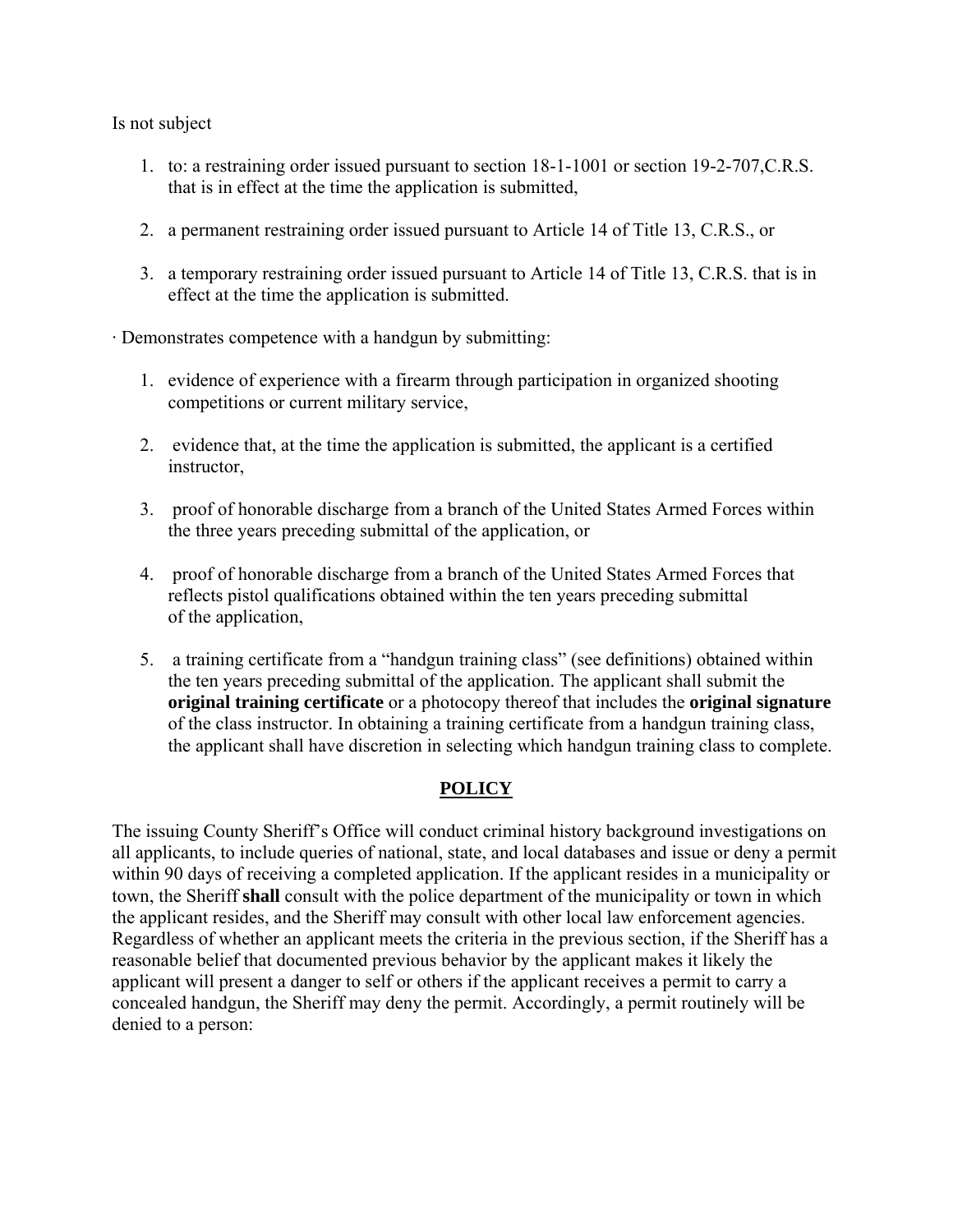Is not subject

- 1. to: a restraining order issued pursuant to section 18-1-1001 or section 19-2-707,C.R.S. that is in effect at the time the application is submitted,
- 2. a permanent restraining order issued pursuant to Article 14 of Title 13, C.R.S., or
- 3. a temporary restraining order issued pursuant to Article 14 of Title 13, C.R.S. that is in effect at the time the application is submitted.

· Demonstrates competence with a handgun by submitting:

- 1. evidence of experience with a firearm through participation in organized shooting competitions or current military service,
- 2. evidence that, at the time the application is submitted, the applicant is a certified instructor,
- 3. proof of honorable discharge from a branch of the United States Armed Forces within the three years preceding submittal of the application, or
- 4. proof of honorable discharge from a branch of the United States Armed Forces that reflects pistol qualifications obtained within the ten years preceding submittal of the application,
- 5. a training certificate from a "handgun training class" (see definitions) obtained within the ten years preceding submittal of the application. The applicant shall submit the **original training certificate** or a photocopy thereof that includes the **original signature**  of the class instructor. In obtaining a training certificate from a handgun training class, the applicant shall have discretion in selecting which handgun training class to complete.

# **POLICY**

The issuing County Sheriff's Office will conduct criminal history background investigations on all applicants, to include queries of national, state, and local databases and issue or deny a permit within 90 days of receiving a completed application. If the applicant resides in a municipality or town, the Sheriff **shall** consult with the police department of the municipality or town in which the applicant resides, and the Sheriff may consult with other local law enforcement agencies. Regardless of whether an applicant meets the criteria in the previous section, if the Sheriff has a reasonable belief that documented previous behavior by the applicant makes it likely the applicant will present a danger to self or others if the applicant receives a permit to carry a concealed handgun, the Sheriff may deny the permit. Accordingly, a permit routinely will be denied to a person: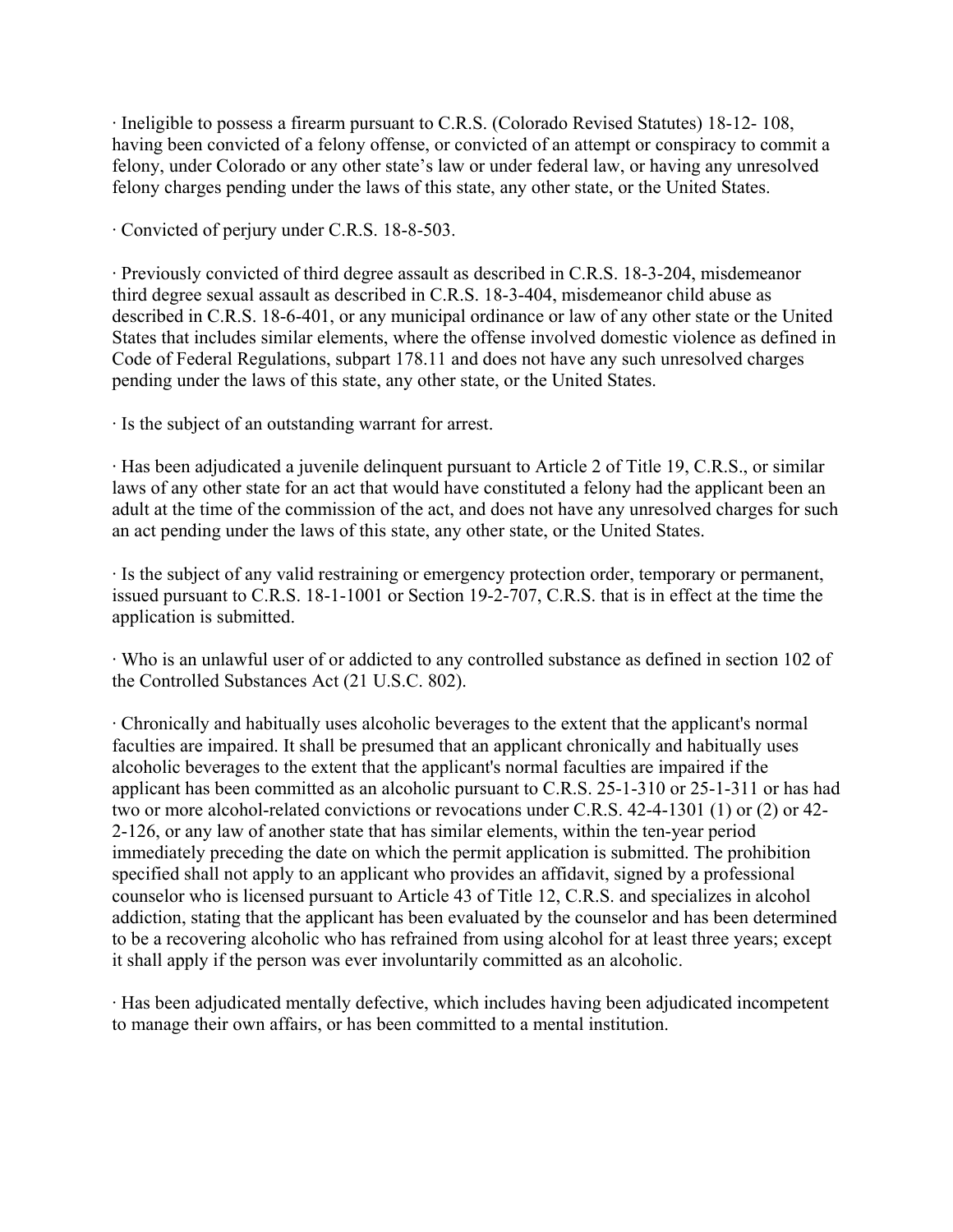· Ineligible to possess a firearm pursuant to C.R.S. (Colorado Revised Statutes) 18-12- 108, having been convicted of a felony offense, or convicted of an attempt or conspiracy to commit a felony, under Colorado or any other state's law or under federal law, or having any unresolved felony charges pending under the laws of this state, any other state, or the United States.

· Convicted of perjury under C.R.S. 18-8-503.

· Previously convicted of third degree assault as described in C.R.S. 18-3-204, misdemeanor third degree sexual assault as described in C.R.S. 18-3-404, misdemeanor child abuse as described in C.R.S. 18-6-401, or any municipal ordinance or law of any other state or the United States that includes similar elements, where the offense involved domestic violence as defined in Code of Federal Regulations, subpart 178.11 and does not have any such unresolved charges pending under the laws of this state, any other state, or the United States.

· Is the subject of an outstanding warrant for arrest.

· Has been adjudicated a juvenile delinquent pursuant to Article 2 of Title 19, C.R.S., or similar laws of any other state for an act that would have constituted a felony had the applicant been an adult at the time of the commission of the act, and does not have any unresolved charges for such an act pending under the laws of this state, any other state, or the United States.

· Is the subject of any valid restraining or emergency protection order, temporary or permanent, issued pursuant to C.R.S. 18-1-1001 or Section 19-2-707, C.R.S. that is in effect at the time the application is submitted.

· Who is an unlawful user of or addicted to any controlled substance as defined in section 102 of the Controlled Substances Act (21 U.S.C. 802).

· Chronically and habitually uses alcoholic beverages to the extent that the applicant's normal faculties are impaired. It shall be presumed that an applicant chronically and habitually uses alcoholic beverages to the extent that the applicant's normal faculties are impaired if the applicant has been committed as an alcoholic pursuant to C.R.S. 25-1-310 or 25-1-311 or has had two or more alcohol-related convictions or revocations under C.R.S. 42-4-1301 (1) or (2) or 42- 2-126, or any law of another state that has similar elements, within the ten-year period immediately preceding the date on which the permit application is submitted. The prohibition specified shall not apply to an applicant who provides an affidavit, signed by a professional counselor who is licensed pursuant to Article 43 of Title 12, C.R.S. and specializes in alcohol addiction, stating that the applicant has been evaluated by the counselor and has been determined to be a recovering alcoholic who has refrained from using alcohol for at least three years; except it shall apply if the person was ever involuntarily committed as an alcoholic.

· Has been adjudicated mentally defective, which includes having been adjudicated incompetent to manage their own affairs, or has been committed to a mental institution.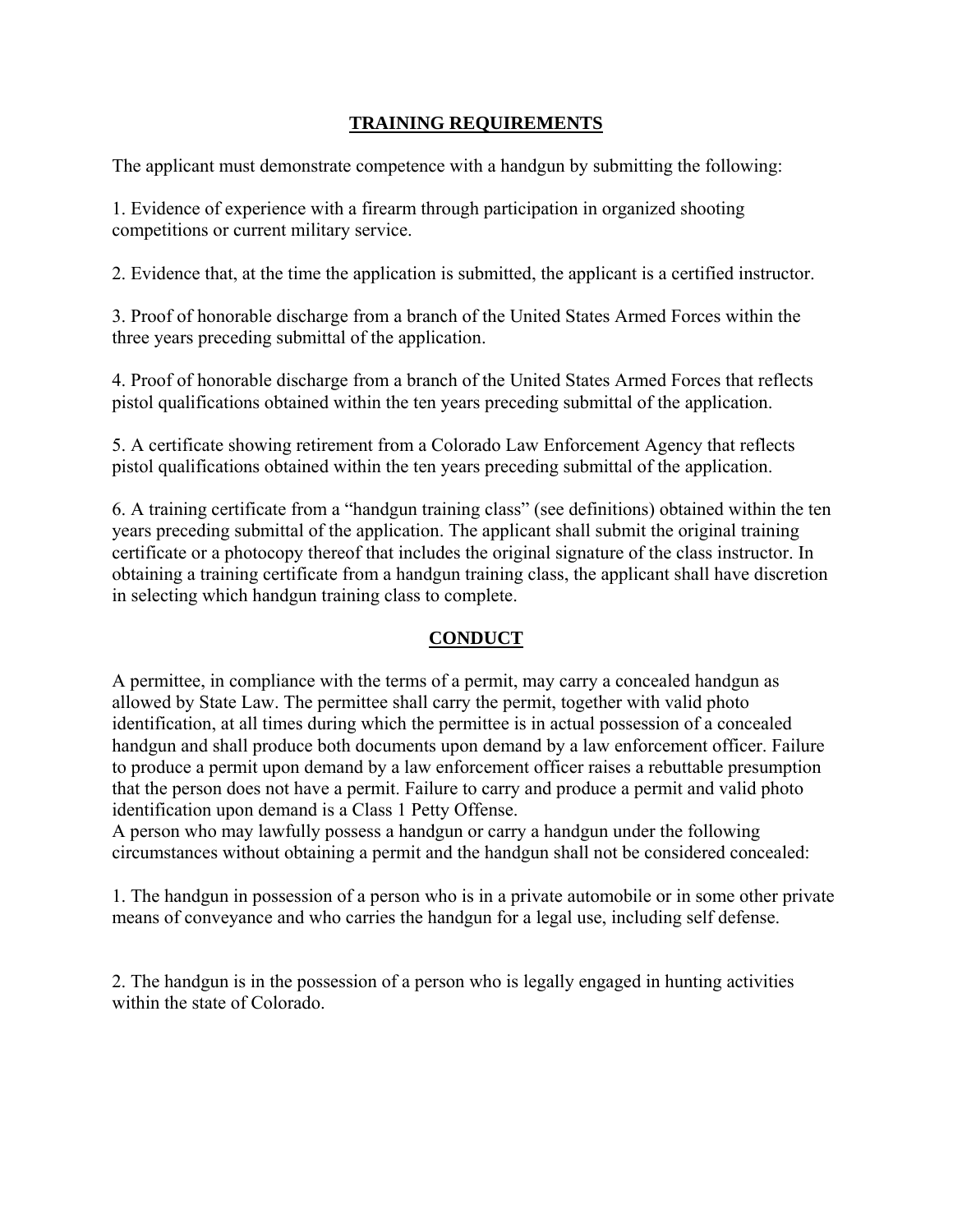# **TRAINING REQUIREMENTS**

The applicant must demonstrate competence with a handgun by submitting the following:

1. Evidence of experience with a firearm through participation in organized shooting competitions or current military service.

2. Evidence that, at the time the application is submitted, the applicant is a certified instructor.

3. Proof of honorable discharge from a branch of the United States Armed Forces within the three years preceding submittal of the application.

4. Proof of honorable discharge from a branch of the United States Armed Forces that reflects pistol qualifications obtained within the ten years preceding submittal of the application.

5. A certificate showing retirement from a Colorado Law Enforcement Agency that reflects pistol qualifications obtained within the ten years preceding submittal of the application.

6. A training certificate from a "handgun training class" (see definitions) obtained within the ten years preceding submittal of the application. The applicant shall submit the original training certificate or a photocopy thereof that includes the original signature of the class instructor. In obtaining a training certificate from a handgun training class, the applicant shall have discretion in selecting which handgun training class to complete.

# **CONDUCT**

A permittee, in compliance with the terms of a permit, may carry a concealed handgun as allowed by State Law. The permittee shall carry the permit, together with valid photo identification, at all times during which the permittee is in actual possession of a concealed handgun and shall produce both documents upon demand by a law enforcement officer. Failure to produce a permit upon demand by a law enforcement officer raises a rebuttable presumption that the person does not have a permit. Failure to carry and produce a permit and valid photo identification upon demand is a Class 1 Petty Offense.

A person who may lawfully possess a handgun or carry a handgun under the following circumstances without obtaining a permit and the handgun shall not be considered concealed:

1. The handgun in possession of a person who is in a private automobile or in some other private means of conveyance and who carries the handgun for a legal use, including self defense.

2. The handgun is in the possession of a person who is legally engaged in hunting activities within the state of Colorado.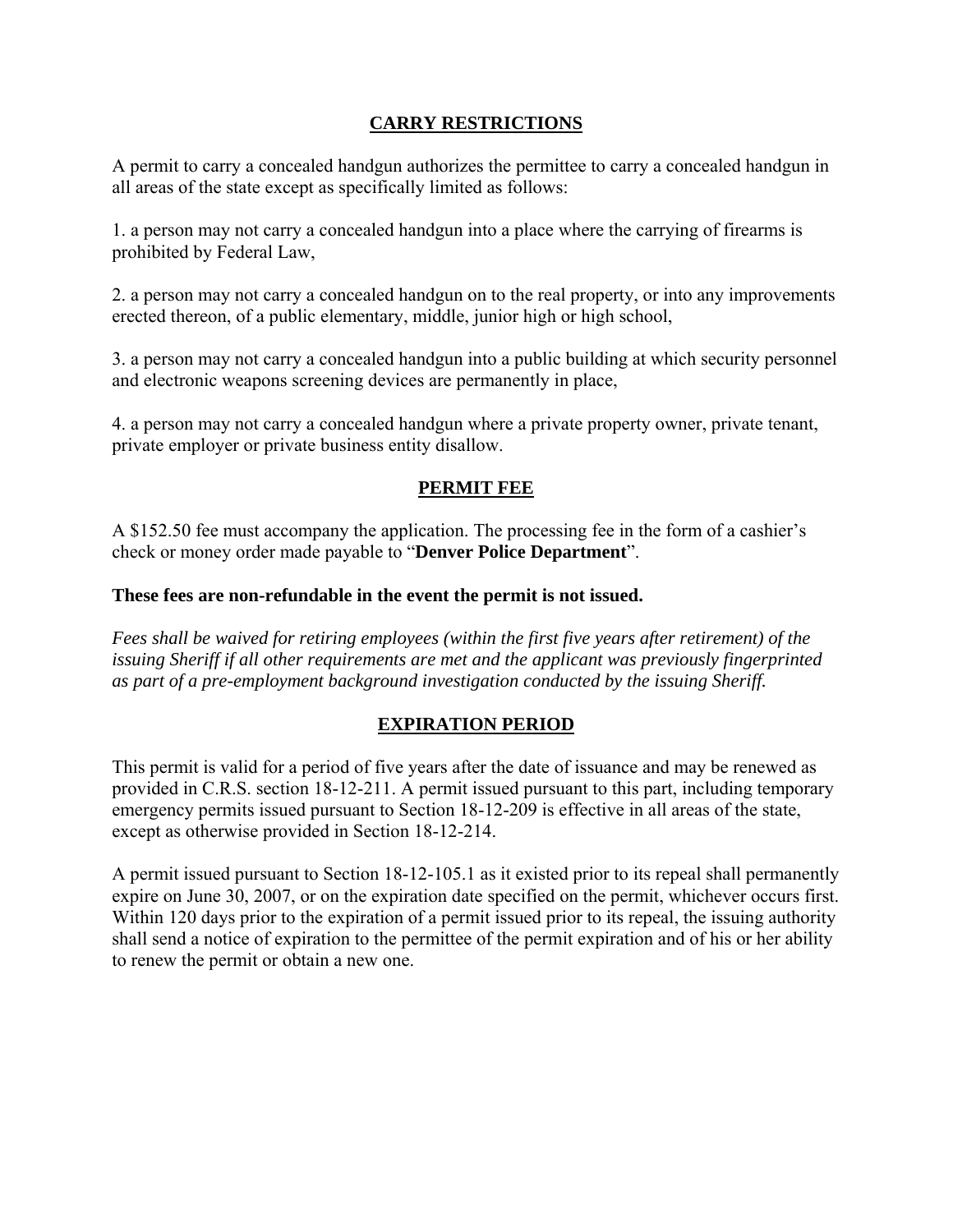## **CARRY RESTRICTIONS**

A permit to carry a concealed handgun authorizes the permittee to carry a concealed handgun in all areas of the state except as specifically limited as follows:

1. a person may not carry a concealed handgun into a place where the carrying of firearms is prohibited by Federal Law,

2. a person may not carry a concealed handgun on to the real property, or into any improvements erected thereon, of a public elementary, middle, junior high or high school,

3. a person may not carry a concealed handgun into a public building at which security personnel and electronic weapons screening devices are permanently in place,

4. a person may not carry a concealed handgun where a private property owner, private tenant, private employer or private business entity disallow.

### **PERMIT FEE**

A \$152.50 fee must accompany the application. The processing fee in the form of a cashier's check or money order made payable to "**Denver Police Department**".

### **These fees are non-refundable in the event the permit is not issued.**

*Fees shall be waived for retiring employees (within the first five years after retirement) of the issuing Sheriff if all other requirements are met and the applicant was previously fingerprinted as part of a pre-employment background investigation conducted by the issuing Sheriff.* 

### **EXPIRATION PERIOD**

This permit is valid for a period of five years after the date of issuance and may be renewed as provided in C.R.S. section 18-12-211. A permit issued pursuant to this part, including temporary emergency permits issued pursuant to Section 18-12-209 is effective in all areas of the state, except as otherwise provided in Section 18-12-214.

A permit issued pursuant to Section 18-12-105.1 as it existed prior to its repeal shall permanently expire on June 30, 2007, or on the expiration date specified on the permit, whichever occurs first. Within 120 days prior to the expiration of a permit issued prior to its repeal, the issuing authority shall send a notice of expiration to the permittee of the permit expiration and of his or her ability to renew the permit or obtain a new one.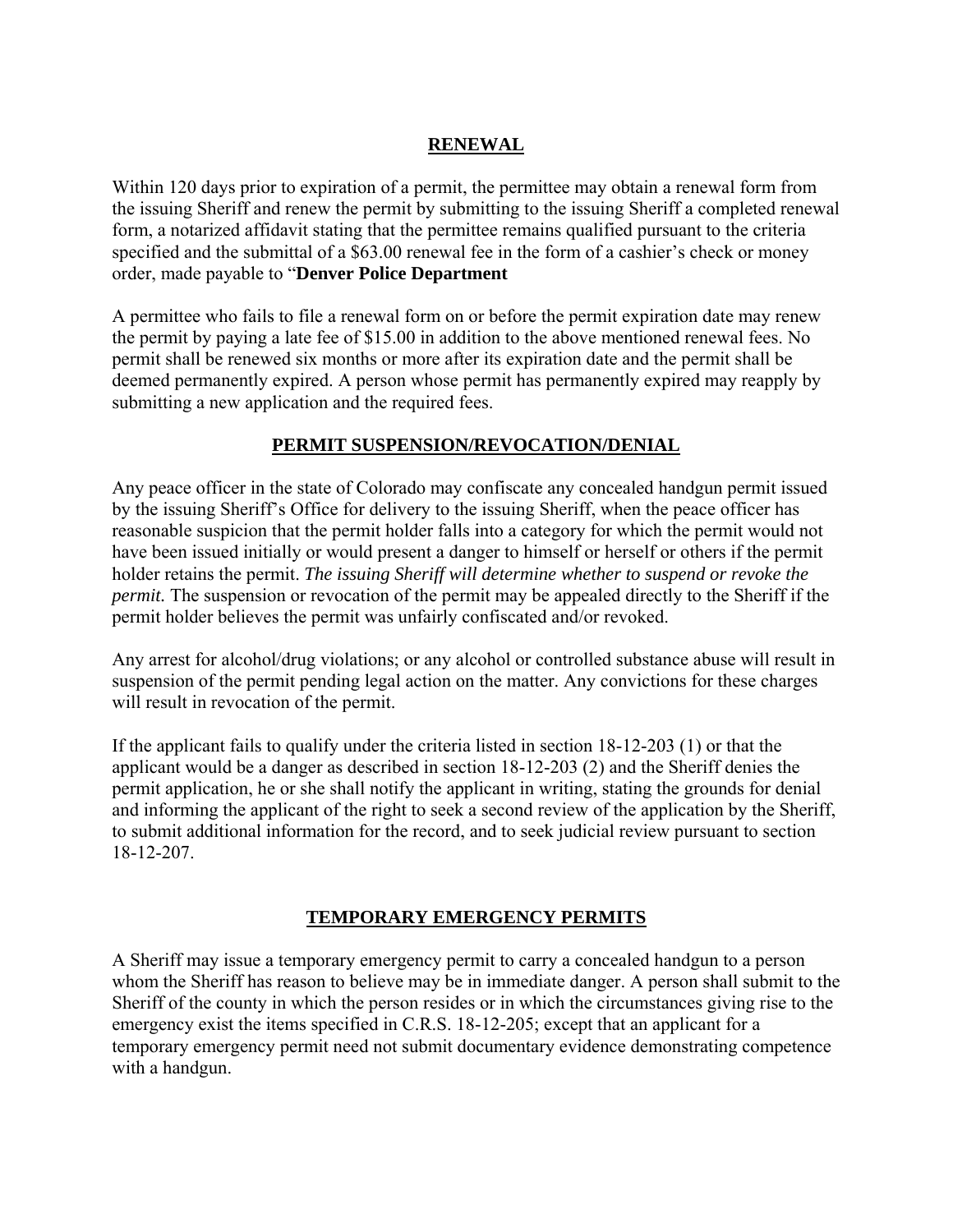# **RENEWAL**

Within 120 days prior to expiration of a permit, the permittee may obtain a renewal form from the issuing Sheriff and renew the permit by submitting to the issuing Sheriff a completed renewal form, a notarized affidavit stating that the permittee remains qualified pursuant to the criteria specified and the submittal of a \$63.00 renewal fee in the form of a cashier's check or money order, made payable to "**Denver Police Department**

A permittee who fails to file a renewal form on or before the permit expiration date may renew the permit by paying a late fee of \$15.00 in addition to the above mentioned renewal fees. No permit shall be renewed six months or more after its expiration date and the permit shall be deemed permanently expired. A person whose permit has permanently expired may reapply by submitting a new application and the required fees.

### **PERMIT SUSPENSION/REVOCATION/DENIAL**

Any peace officer in the state of Colorado may confiscate any concealed handgun permit issued by the issuing Sheriff's Office for delivery to the issuing Sheriff, when the peace officer has reasonable suspicion that the permit holder falls into a category for which the permit would not have been issued initially or would present a danger to himself or herself or others if the permit holder retains the permit. *The issuing Sheriff will determine whether to suspend or revoke the permit.* The suspension or revocation of the permit may be appealed directly to the Sheriff if the permit holder believes the permit was unfairly confiscated and/or revoked.

Any arrest for alcohol/drug violations; or any alcohol or controlled substance abuse will result in suspension of the permit pending legal action on the matter. Any convictions for these charges will result in revocation of the permit.

If the applicant fails to qualify under the criteria listed in section 18-12-203 (1) or that the applicant would be a danger as described in section 18-12-203 (2) and the Sheriff denies the permit application, he or she shall notify the applicant in writing, stating the grounds for denial and informing the applicant of the right to seek a second review of the application by the Sheriff, to submit additional information for the record, and to seek judicial review pursuant to section 18-12-207.

### **TEMPORARY EMERGENCY PERMITS**

A Sheriff may issue a temporary emergency permit to carry a concealed handgun to a person whom the Sheriff has reason to believe may be in immediate danger. A person shall submit to the Sheriff of the county in which the person resides or in which the circumstances giving rise to the emergency exist the items specified in C.R.S. 18-12-205; except that an applicant for a temporary emergency permit need not submit documentary evidence demonstrating competence with a handgun.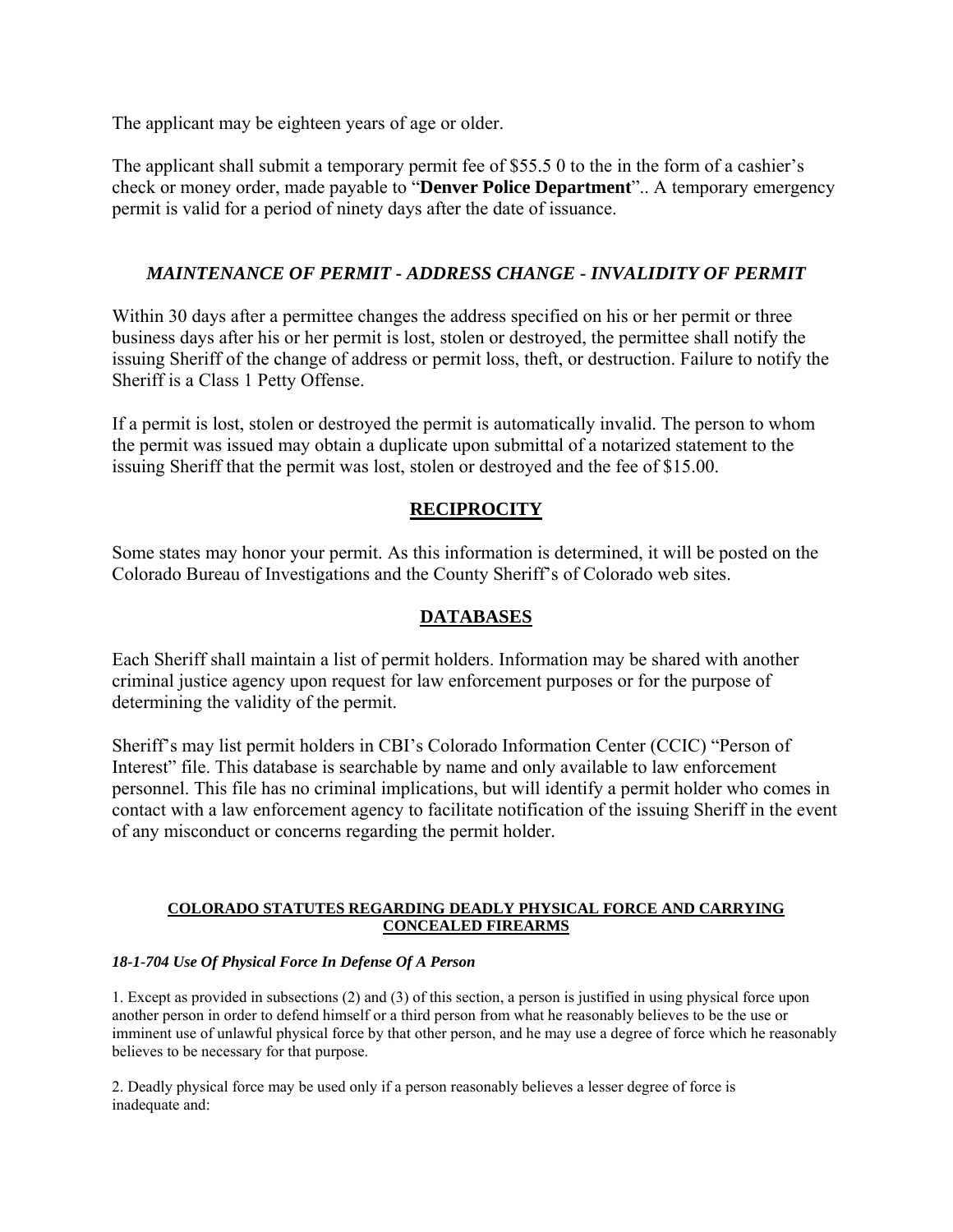The applicant may be eighteen years of age or older.

The applicant shall submit a temporary permit fee of \$55.5 0 to the in the form of a cashier's check or money order, made payable to "**Denver Police Department**".. A temporary emergency permit is valid for a period of ninety days after the date of issuance.

### *MAINTENANCE OF PERMIT - ADDRESS CHANGE - INVALIDITY OF PERMIT*

Within 30 days after a permittee changes the address specified on his or her permit or three business days after his or her permit is lost, stolen or destroyed, the permittee shall notify the issuing Sheriff of the change of address or permit loss, theft, or destruction. Failure to notify the Sheriff is a Class 1 Petty Offense.

If a permit is lost, stolen or destroyed the permit is automatically invalid. The person to whom the permit was issued may obtain a duplicate upon submittal of a notarized statement to the issuing Sheriff that the permit was lost, stolen or destroyed and the fee of \$15.00.

### **RECIPROCITY**

Some states may honor your permit. As this information is determined, it will be posted on the Colorado Bureau of Investigations and the County Sheriff's of Colorado web sites.

### **DATABASES**

Each Sheriff shall maintain a list of permit holders. Information may be shared with another criminal justice agency upon request for law enforcement purposes or for the purpose of determining the validity of the permit.

Sheriff's may list permit holders in CBI's Colorado Information Center (CCIC) "Person of Interest" file. This database is searchable by name and only available to law enforcement personnel. This file has no criminal implications, but will identify a permit holder who comes in contact with a law enforcement agency to facilitate notification of the issuing Sheriff in the event of any misconduct or concerns regarding the permit holder.

#### **COLORADO STATUTES REGARDING DEADLY PHYSICAL FORCE AND CARRYING CONCEALED FIREARMS**

#### *18-1-704 Use Of Physical Force In Defense Of A Person*

1. Except as provided in subsections (2) and (3) of this section, a person is justified in using physical force upon another person in order to defend himself or a third person from what he reasonably believes to be the use or imminent use of unlawful physical force by that other person, and he may use a degree of force which he reasonably believes to be necessary for that purpose.

2. Deadly physical force may be used only if a person reasonably believes a lesser degree of force is inadequate and: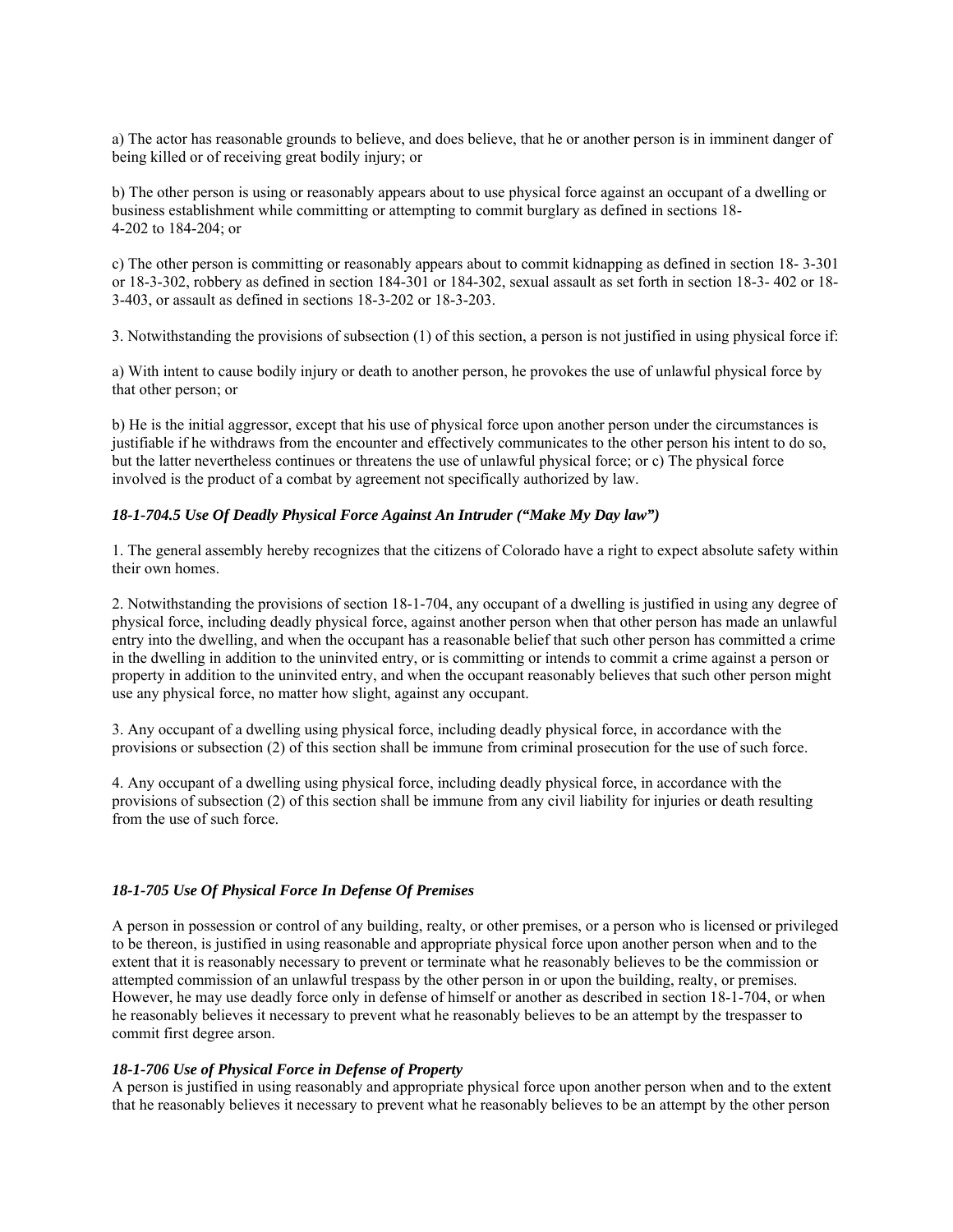a) The actor has reasonable grounds to believe, and does believe, that he or another person is in imminent danger of being killed or of receiving great bodily injury; or

b) The other person is using or reasonably appears about to use physical force against an occupant of a dwelling or business establishment while committing or attempting to commit burglary as defined in sections 18- 4-202 to 184-204; or

c) The other person is committing or reasonably appears about to commit kidnapping as defined in section 18- 3-301 or 18-3-302, robbery as defined in section 184-301 or 184-302, sexual assault as set forth in section 18-3- 402 or 18- 3-403, or assault as defined in sections 18-3-202 or 18-3-203.

3. Notwithstanding the provisions of subsection (1) of this section, a person is not justified in using physical force if:

a) With intent to cause bodily injury or death to another person, he provokes the use of unlawful physical force by that other person; or

b) He is the initial aggressor, except that his use of physical force upon another person under the circumstances is justifiable if he withdraws from the encounter and effectively communicates to the other person his intent to do so, but the latter nevertheless continues or threatens the use of unlawful physical force; or c) The physical force involved is the product of a combat by agreement not specifically authorized by law.

#### *18-1-704.5 Use Of Deadly Physical Force Against An Intruder ("Make My Day law")*

1. The general assembly hereby recognizes that the citizens of Colorado have a right to expect absolute safety within their own homes.

2. Notwithstanding the provisions of section 18-1-704, any occupant of a dwelling is justified in using any degree of physical force, including deadly physical force, against another person when that other person has made an unlawful entry into the dwelling, and when the occupant has a reasonable belief that such other person has committed a crime in the dwelling in addition to the uninvited entry, or is committing or intends to commit a crime against a person or property in addition to the uninvited entry, and when the occupant reasonably believes that such other person might use any physical force, no matter how slight, against any occupant.

3. Any occupant of a dwelling using physical force, including deadly physical force, in accordance with the provisions or subsection (2) of this section shall be immune from criminal prosecution for the use of such force.

4. Any occupant of a dwelling using physical force, including deadly physical force, in accordance with the provisions of subsection (2) of this section shall be immune from any civil liability for injuries or death resulting from the use of such force.

#### *18-1-705 Use Of Physical Force In Defense Of Premises*

A person in possession or control of any building, realty, or other premises, or a person who is licensed or privileged to be thereon, is justified in using reasonable and appropriate physical force upon another person when and to the extent that it is reasonably necessary to prevent or terminate what he reasonably believes to be the commission or attempted commission of an unlawful trespass by the other person in or upon the building, realty, or premises. However, he may use deadly force only in defense of himself or another as described in section 18-1-704, or when he reasonably believes it necessary to prevent what he reasonably believes to be an attempt by the trespasser to commit first degree arson.

#### *18-1-706 Use of Physical Force in Defense of Property*

A person is justified in using reasonably and appropriate physical force upon another person when and to the extent that he reasonably believes it necessary to prevent what he reasonably believes to be an attempt by the other person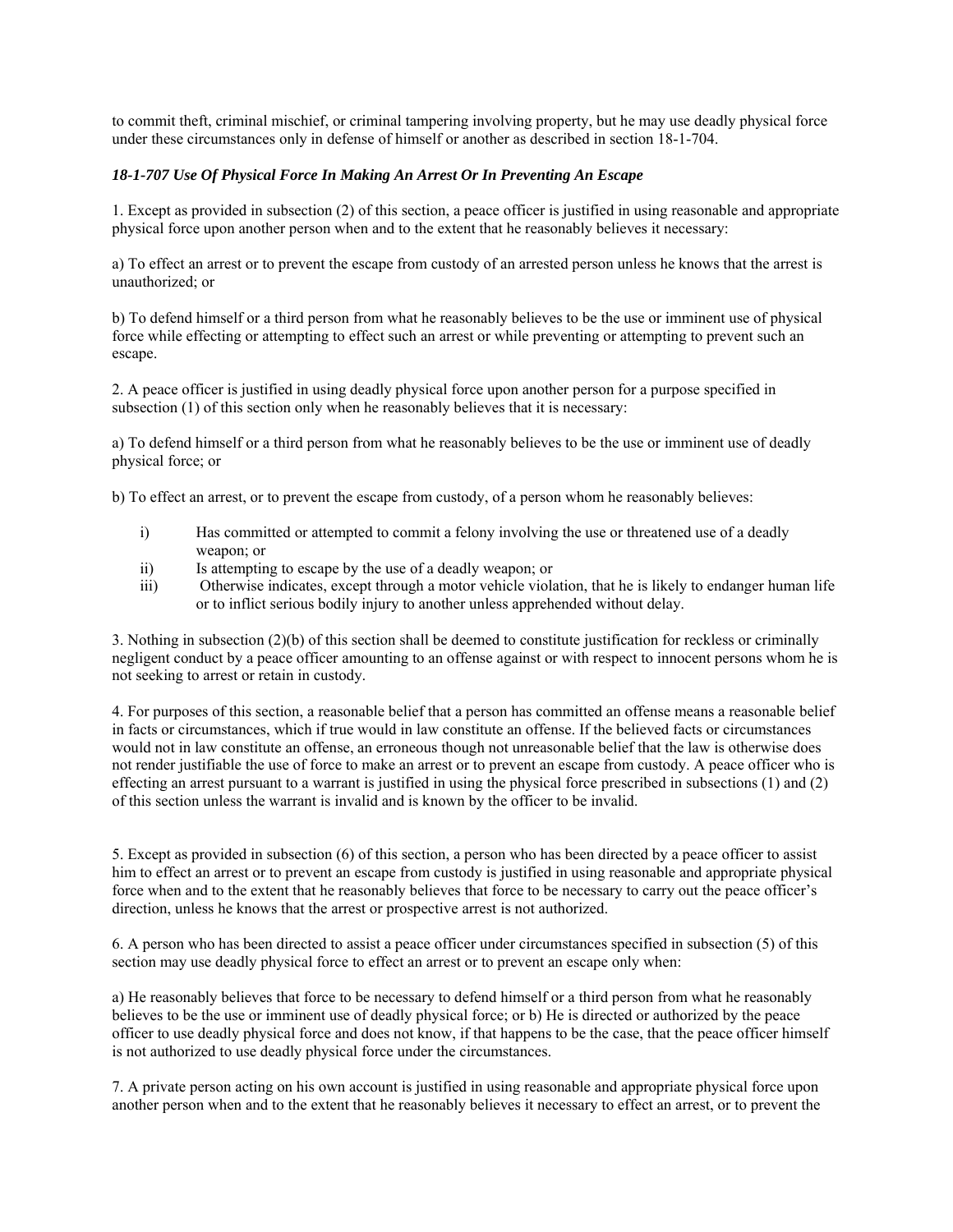to commit theft, criminal mischief, or criminal tampering involving property, but he may use deadly physical force under these circumstances only in defense of himself or another as described in section 18-1-704.

#### *18-1-707 Use Of Physical Force In Making An Arrest Or In Preventing An Escape*

1. Except as provided in subsection (2) of this section, a peace officer is justified in using reasonable and appropriate physical force upon another person when and to the extent that he reasonably believes it necessary:

a) To effect an arrest or to prevent the escape from custody of an arrested person unless he knows that the arrest is unauthorized; or

b) To defend himself or a third person from what he reasonably believes to be the use or imminent use of physical force while effecting or attempting to effect such an arrest or while preventing or attempting to prevent such an escape.

2. A peace officer is justified in using deadly physical force upon another person for a purpose specified in subsection (1) of this section only when he reasonably believes that it is necessary:

a) To defend himself or a third person from what he reasonably believes to be the use or imminent use of deadly physical force; or

b) To effect an arrest, or to prevent the escape from custody, of a person whom he reasonably believes:

- i) Has committed or attempted to commit a felony involving the use or threatened use of a deadly weapon; or
- ii) Is attempting to escape by the use of a deadly weapon; or
- iii) Otherwise indicates, except through a motor vehicle violation, that he is likely to endanger human life or to inflict serious bodily injury to another unless apprehended without delay.

3. Nothing in subsection (2)(b) of this section shall be deemed to constitute justification for reckless or criminally negligent conduct by a peace officer amounting to an offense against or with respect to innocent persons whom he is not seeking to arrest or retain in custody.

4. For purposes of this section, a reasonable belief that a person has committed an offense means a reasonable belief in facts or circumstances, which if true would in law constitute an offense. If the believed facts or circumstances would not in law constitute an offense, an erroneous though not unreasonable belief that the law is otherwise does not render justifiable the use of force to make an arrest or to prevent an escape from custody. A peace officer who is effecting an arrest pursuant to a warrant is justified in using the physical force prescribed in subsections (1) and (2) of this section unless the warrant is invalid and is known by the officer to be invalid.

5. Except as provided in subsection (6) of this section, a person who has been directed by a peace officer to assist him to effect an arrest or to prevent an escape from custody is justified in using reasonable and appropriate physical force when and to the extent that he reasonably believes that force to be necessary to carry out the peace officer's direction, unless he knows that the arrest or prospective arrest is not authorized.

6. A person who has been directed to assist a peace officer under circumstances specified in subsection (5) of this section may use deadly physical force to effect an arrest or to prevent an escape only when:

a) He reasonably believes that force to be necessary to defend himself or a third person from what he reasonably believes to be the use or imminent use of deadly physical force; or b) He is directed or authorized by the peace officer to use deadly physical force and does not know, if that happens to be the case, that the peace officer himself is not authorized to use deadly physical force under the circumstances.

7. A private person acting on his own account is justified in using reasonable and appropriate physical force upon another person when and to the extent that he reasonably believes it necessary to effect an arrest, or to prevent the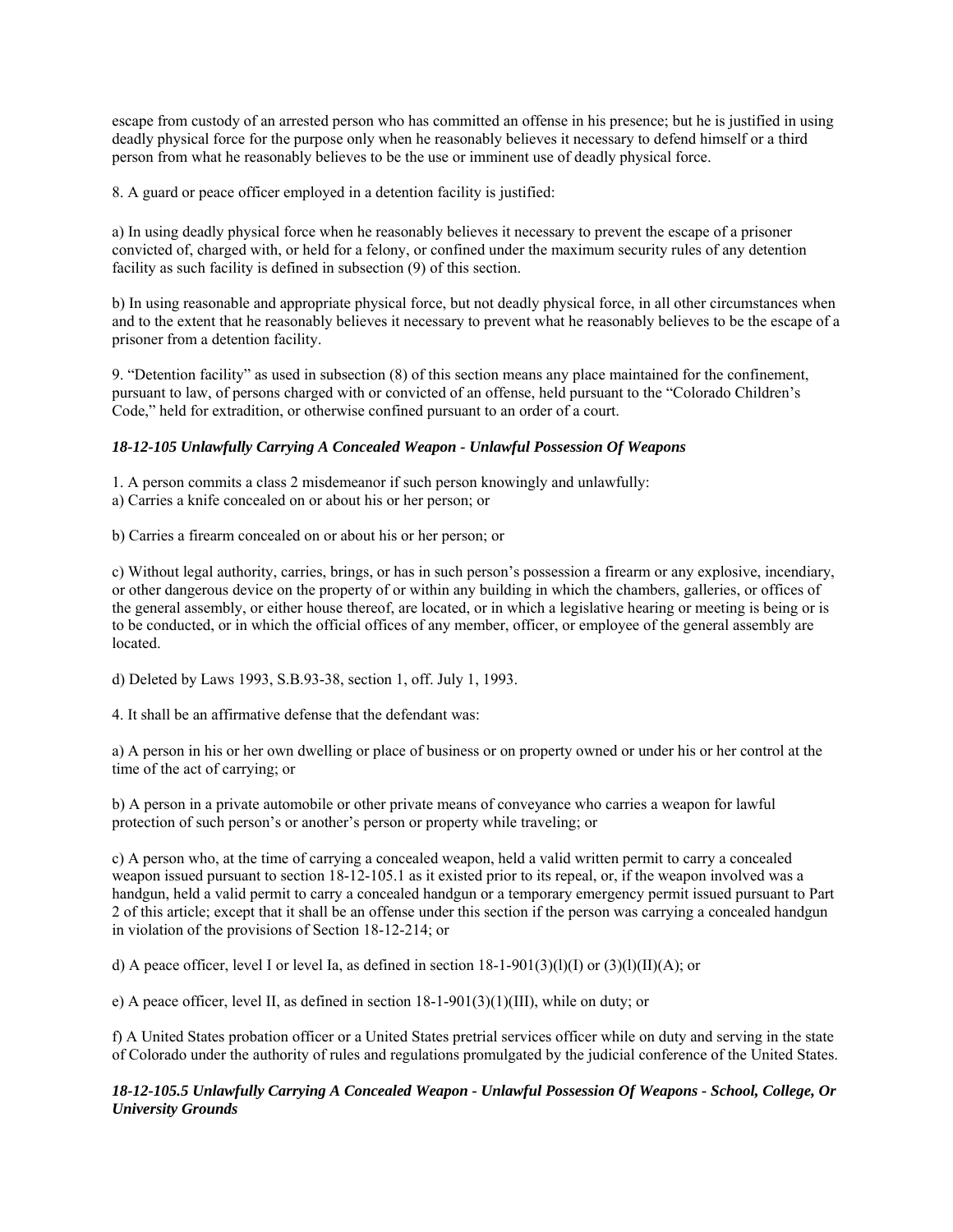escape from custody of an arrested person who has committed an offense in his presence; but he is justified in using deadly physical force for the purpose only when he reasonably believes it necessary to defend himself or a third person from what he reasonably believes to be the use or imminent use of deadly physical force.

8. A guard or peace officer employed in a detention facility is justified:

a) In using deadly physical force when he reasonably believes it necessary to prevent the escape of a prisoner convicted of, charged with, or held for a felony, or confined under the maximum security rules of any detention facility as such facility is defined in subsection (9) of this section.

b) In using reasonable and appropriate physical force, but not deadly physical force, in all other circumstances when and to the extent that he reasonably believes it necessary to prevent what he reasonably believes to be the escape of a prisoner from a detention facility.

9. "Detention facility" as used in subsection (8) of this section means any place maintained for the confinement, pursuant to law, of persons charged with or convicted of an offense, held pursuant to the "Colorado Children's Code," held for extradition, or otherwise confined pursuant to an order of a court.

#### *18-12-105 Unlawfully Carrying A Concealed Weapon - Unlawful Possession Of Weapons*

1. A person commits a class 2 misdemeanor if such person knowingly and unlawfully:

a) Carries a knife concealed on or about his or her person; or

b) Carries a firearm concealed on or about his or her person; or

c) Without legal authority, carries, brings, or has in such person's possession a firearm or any explosive, incendiary, or other dangerous device on the property of or within any building in which the chambers, galleries, or offices of the general assembly, or either house thereof, are located, or in which a legislative hearing or meeting is being or is to be conducted, or in which the official offices of any member, officer, or employee of the general assembly are located.

d) Deleted by Laws 1993, S.B.93-38, section 1, off. July 1, 1993.

4. It shall be an affirmative defense that the defendant was:

a) A person in his or her own dwelling or place of business or on property owned or under his or her control at the time of the act of carrying; or

b) A person in a private automobile or other private means of conveyance who carries a weapon for lawful protection of such person's or another's person or property while traveling; or

c) A person who, at the time of carrying a concealed weapon, held a valid written permit to carry a concealed weapon issued pursuant to section 18-12-105.1 as it existed prior to its repeal, or, if the weapon involved was a handgun, held a valid permit to carry a concealed handgun or a temporary emergency permit issued pursuant to Part 2 of this article; except that it shall be an offense under this section if the person was carrying a concealed handgun in violation of the provisions of Section 18-12-214; or

d) A peace officer, level I or level Ia, as defined in section  $18{\text -}1{\text -}901(3)(l)(l)(l)$  or  $(3)(l)(Il)(A)$ ; or

e) A peace officer, level II, as defined in section 18-1-901(3)(1)(III), while on duty; or

f) A United States probation officer or a United States pretrial services officer while on duty and serving in the state of Colorado under the authority of rules and regulations promulgated by the judicial conference of the United States.

#### *18-12-105.5 Unlawfully Carrying A Concealed Weapon - Unlawful Possession Of Weapons - School, College, Or University Grounds*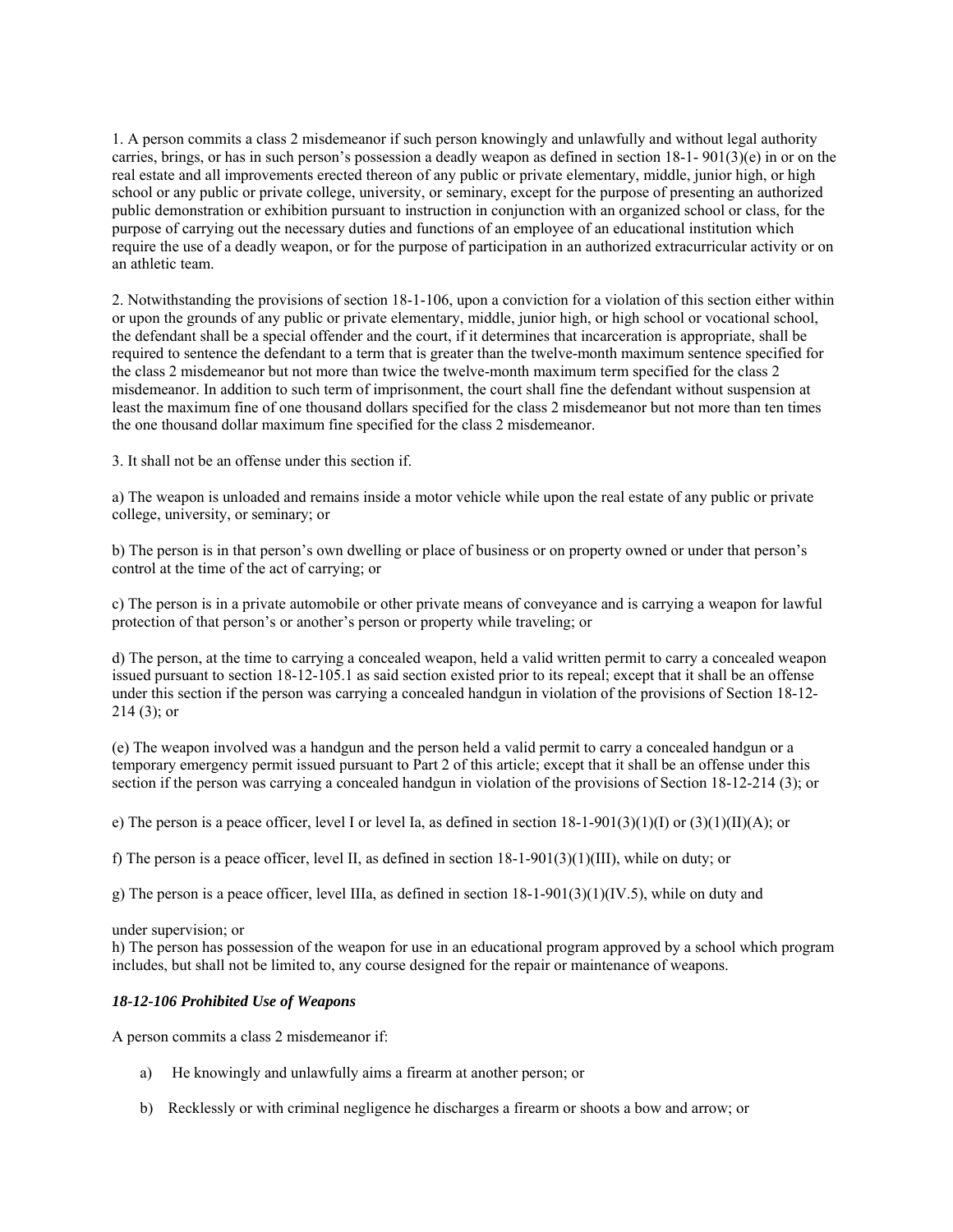1. A person commits a class 2 misdemeanor if such person knowingly and unlawfully and without legal authority carries, brings, or has in such person's possession a deadly weapon as defined in section 18-1- 901(3)(e) in or on the real estate and all improvements erected thereon of any public or private elementary, middle, junior high, or high school or any public or private college, university, or seminary, except for the purpose of presenting an authorized public demonstration or exhibition pursuant to instruction in conjunction with an organized school or class, for the purpose of carrying out the necessary duties and functions of an employee of an educational institution which require the use of a deadly weapon, or for the purpose of participation in an authorized extracurricular activity or on an athletic team.

2. Notwithstanding the provisions of section 18-1-106, upon a conviction for a violation of this section either within or upon the grounds of any public or private elementary, middle, junior high, or high school or vocational school, the defendant shall be a special offender and the court, if it determines that incarceration is appropriate, shall be required to sentence the defendant to a term that is greater than the twelve-month maximum sentence specified for the class 2 misdemeanor but not more than twice the twelve-month maximum term specified for the class 2 misdemeanor. In addition to such term of imprisonment, the court shall fine the defendant without suspension at least the maximum fine of one thousand dollars specified for the class 2 misdemeanor but not more than ten times the one thousand dollar maximum fine specified for the class 2 misdemeanor.

3. It shall not be an offense under this section if.

a) The weapon is unloaded and remains inside a motor vehicle while upon the real estate of any public or private college, university, or seminary; or

b) The person is in that person's own dwelling or place of business or on property owned or under that person's control at the time of the act of carrying; or

c) The person is in a private automobile or other private means of conveyance and is carrying a weapon for lawful protection of that person's or another's person or property while traveling; or

d) The person, at the time to carrying a concealed weapon, held a valid written permit to carry a concealed weapon issued pursuant to section 18-12-105.1 as said section existed prior to its repeal; except that it shall be an offense under this section if the person was carrying a concealed handgun in violation of the provisions of Section 18-12- 214 (3); or

(e) The weapon involved was a handgun and the person held a valid permit to carry a concealed handgun or a temporary emergency permit issued pursuant to Part 2 of this article; except that it shall be an offense under this section if the person was carrying a concealed handgun in violation of the provisions of Section 18-12-214 (3); or

e) The person is a peace officer, level I or level Ia, as defined in section  $18{\text -}1{\text -}901(3)(1)(N)$  or  $(3)(1)(N)$ ; or

f) The person is a peace officer, level II, as defined in section  $18-1-901(3)(1)(III)$ , while on duty; or

g) The person is a peace officer, level IIIa, as defined in section 18-1-901(3)(1)(IV.5), while on duty and

under supervision; or

h) The person has possession of the weapon for use in an educational program approved by a school which program includes, but shall not be limited to, any course designed for the repair or maintenance of weapons.

#### *18-12-106 Prohibited Use of Weapons*

A person commits a class 2 misdemeanor if:

- a) He knowingly and unlawfully aims a firearm at another person; or
- b) Recklessly or with criminal negligence he discharges a firearm or shoots a bow and arrow; or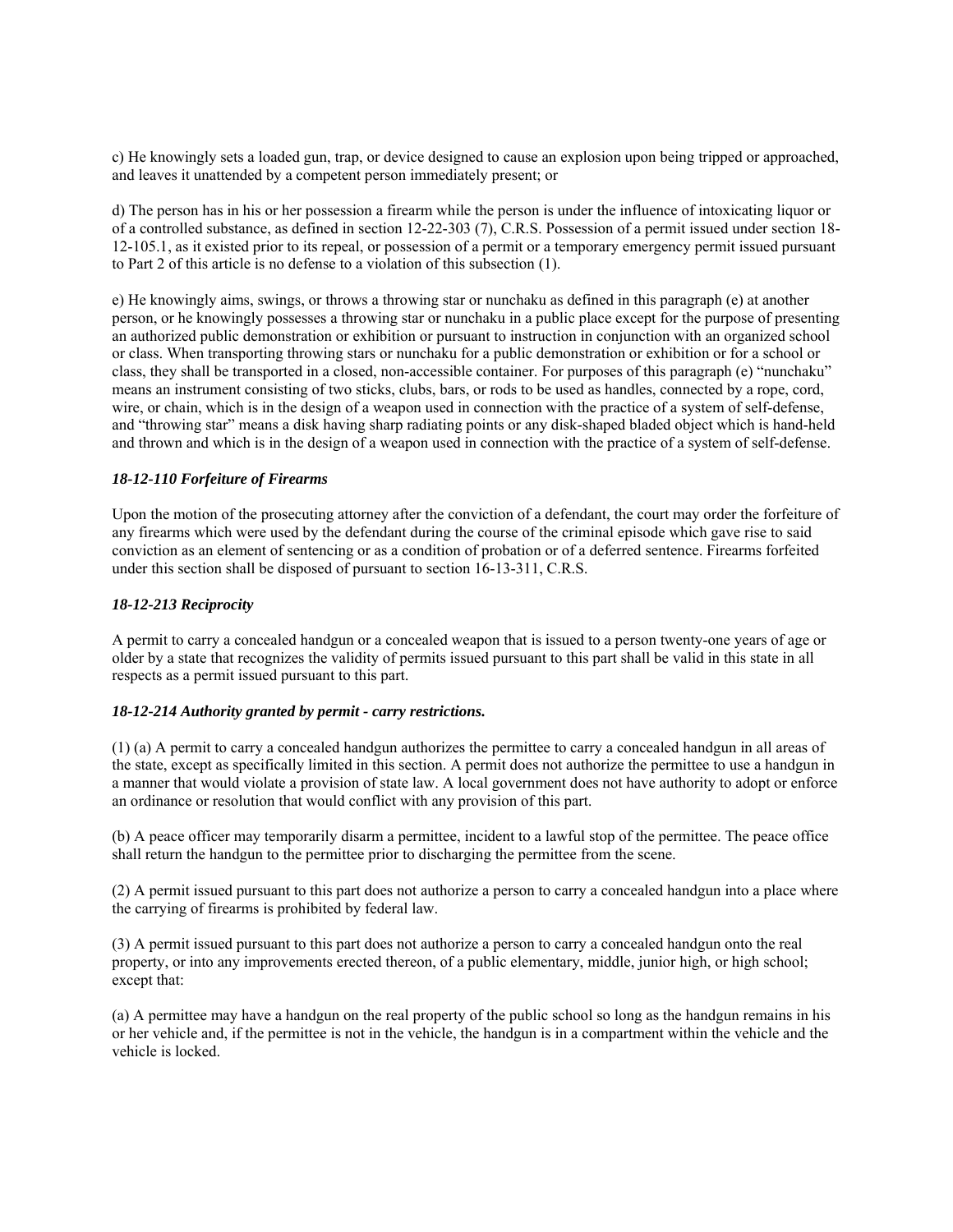c) He knowingly sets a loaded gun, trap, or device designed to cause an explosion upon being tripped or approached, and leaves it unattended by a competent person immediately present; or

d) The person has in his or her possession a firearm while the person is under the influence of intoxicating liquor or of a controlled substance, as defined in section 12-22-303 (7), C.R.S. Possession of a permit issued under section 18- 12-105.1, as it existed prior to its repeal, or possession of a permit or a temporary emergency permit issued pursuant to Part 2 of this article is no defense to a violation of this subsection (1).

e) He knowingly aims, swings, or throws a throwing star or nunchaku as defined in this paragraph (e) at another person, or he knowingly possesses a throwing star or nunchaku in a public place except for the purpose of presenting an authorized public demonstration or exhibition or pursuant to instruction in conjunction with an organized school or class. When transporting throwing stars or nunchaku for a public demonstration or exhibition or for a school or class, they shall be transported in a closed, non-accessible container. For purposes of this paragraph (e) "nunchaku" means an instrument consisting of two sticks, clubs, bars, or rods to be used as handles, connected by a rope, cord, wire, or chain, which is in the design of a weapon used in connection with the practice of a system of self-defense, and "throwing star" means a disk having sharp radiating points or any disk-shaped bladed object which is hand-held and thrown and which is in the design of a weapon used in connection with the practice of a system of self-defense.

#### *18-12-110 Forfeiture of Firearms*

Upon the motion of the prosecuting attorney after the conviction of a defendant, the court may order the forfeiture of any firearms which were used by the defendant during the course of the criminal episode which gave rise to said conviction as an element of sentencing or as a condition of probation or of a deferred sentence. Firearms forfeited under this section shall be disposed of pursuant to section 16-13-311, C.R.S.

#### *18-12-213 Reciprocity*

A permit to carry a concealed handgun or a concealed weapon that is issued to a person twenty-one years of age or older by a state that recognizes the validity of permits issued pursuant to this part shall be valid in this state in all respects as a permit issued pursuant to this part.

#### *18-12-214 Authority granted by permit - carry restrictions.*

(1) (a) A permit to carry a concealed handgun authorizes the permittee to carry a concealed handgun in all areas of the state, except as specifically limited in this section. A permit does not authorize the permittee to use a handgun in a manner that would violate a provision of state law. A local government does not have authority to adopt or enforce an ordinance or resolution that would conflict with any provision of this part.

(b) A peace officer may temporarily disarm a permittee, incident to a lawful stop of the permittee. The peace office shall return the handgun to the permittee prior to discharging the permittee from the scene.

(2) A permit issued pursuant to this part does not authorize a person to carry a concealed handgun into a place where the carrying of firearms is prohibited by federal law.

(3) A permit issued pursuant to this part does not authorize a person to carry a concealed handgun onto the real property, or into any improvements erected thereon, of a public elementary, middle, junior high, or high school; except that:

(a) A permittee may have a handgun on the real property of the public school so long as the handgun remains in his or her vehicle and, if the permittee is not in the vehicle, the handgun is in a compartment within the vehicle and the vehicle is locked.